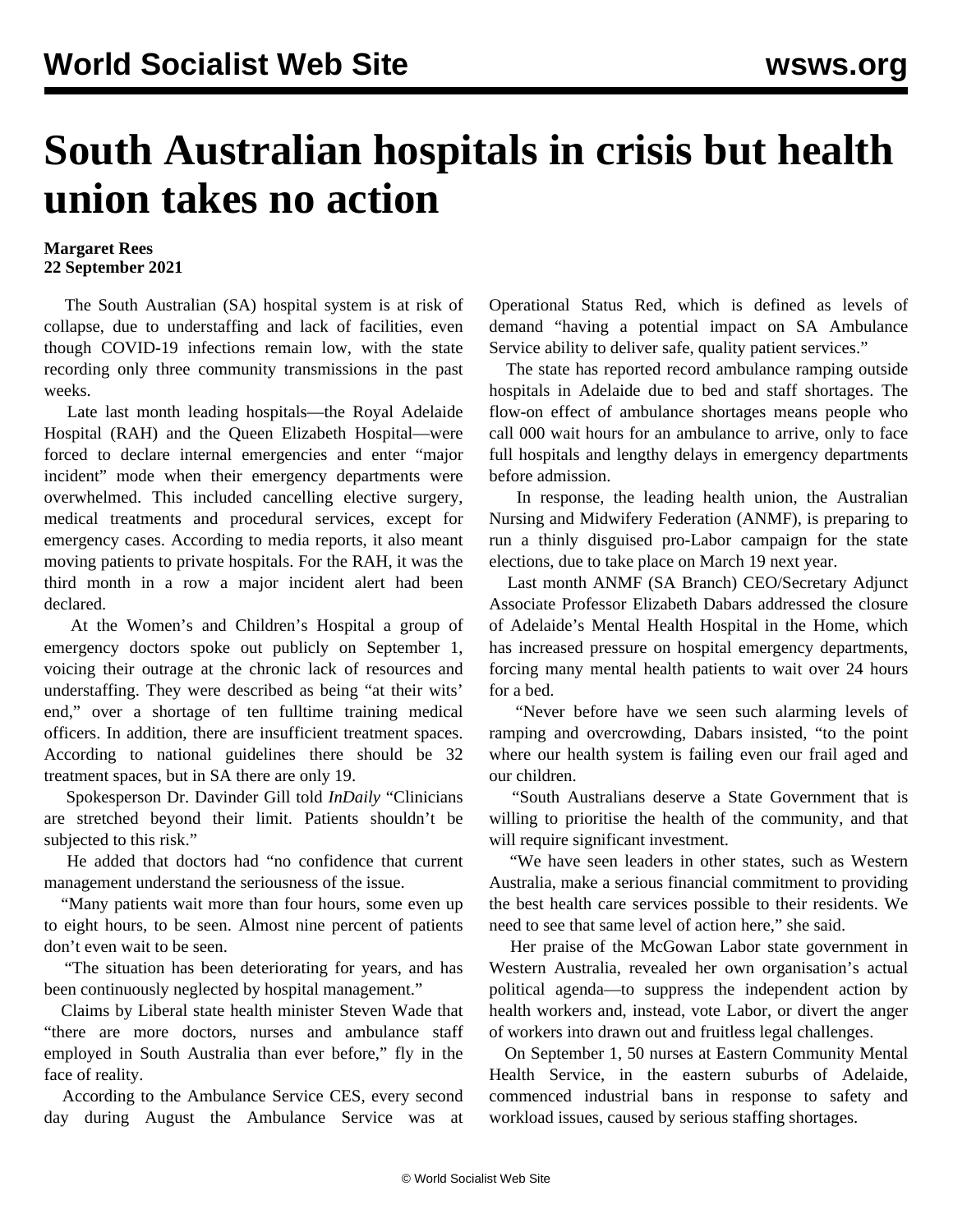## **South Australian hospitals in crisis but health union takes no action**

## **Margaret Rees 22 September 2021**

 The South Australian (SA) hospital system is at risk of collapse, due to understaffing and lack of facilities, even though COVID-19 infections remain low, with the state recording only three community transmissions in the past weeks.

 Late last month leading hospitals—the Royal Adelaide Hospital (RAH) and the Queen Elizabeth Hospital—were forced to declare internal emergencies and enter "major incident" mode when their emergency departments were overwhelmed. This included cancelling elective surgery, medical treatments and procedural services, except for emergency cases. According to media reports, it also meant moving patients to private hospitals. For the RAH, it was the third month in a row a major incident alert had been declared.

 At the Women's and Children's Hospital a group of emergency doctors spoke out publicly on September 1, voicing their outrage at the chronic lack of resources and understaffing. They were described as being "at their wits' end," over a shortage of ten fulltime training medical officers. In addition, there are insufficient treatment spaces. According to national guidelines there should be 32 treatment spaces, but in SA there are only 19.

 Spokesperson Dr. Davinder Gill told *InDaily* "Clinicians are stretched beyond their limit. Patients shouldn't be subjected to this risk."

 He added that doctors had "no confidence that current management understand the seriousness of the issue.

 "Many patients wait more than four hours, some even up to eight hours, to be seen. Almost nine percent of patients don't even wait to be seen.

 "The situation has been deteriorating for years, and has been continuously neglected by hospital management."

 Claims by Liberal state health minister Steven Wade that "there are more doctors, nurses and ambulance staff employed in South Australia than ever before," fly in the face of reality.

 According to the Ambulance Service CES, every second day during August the Ambulance Service was at Operational Status Red, which is defined as levels of demand "having a potential impact on SA Ambulance Service ability to deliver safe, quality patient services."

 The state has reported record ambulance ramping outside hospitals in Adelaide due to bed and staff shortages. The flow-on effect of ambulance shortages means people who call 000 wait hours for an ambulance to arrive, only to face full hospitals and lengthy delays in emergency departments before admission.

 In response, the leading health union, the Australian Nursing and Midwifery Federation (ANMF), is preparing to run a thinly disguised pro-Labor campaign for the state elections, due to take place on March 19 next year.

 Last month ANMF (SA Branch) CEO/Secretary Adjunct Associate Professor Elizabeth Dabars addressed the closure of Adelaide's Mental Health Hospital in the Home, which has increased pressure on hospital emergency departments, forcing many mental health patients to wait over 24 hours for a bed.

 "Never before have we seen such alarming levels of ramping and overcrowding, Dabars insisted, "to the point where our health system is failing even our frail aged and our children.

 "South Australians deserve a State Government that is willing to prioritise the health of the community, and that will require significant investment.

 "We have seen leaders in other states, such as Western Australia, make a serious financial commitment to providing the best health care services possible to their residents. We need to see that same level of action here," she said.

 Her praise of the McGowan Labor state government in Western Australia, revealed her own organisation's actual political agenda—to suppress the independent action by health workers and, instead, vote Labor, or divert the anger of workers into drawn out and fruitless legal challenges.

 On September 1, 50 nurses at Eastern Community Mental Health Service, in the eastern suburbs of Adelaide, commenced industrial bans in response to safety and workload issues, caused by serious staffing shortages.